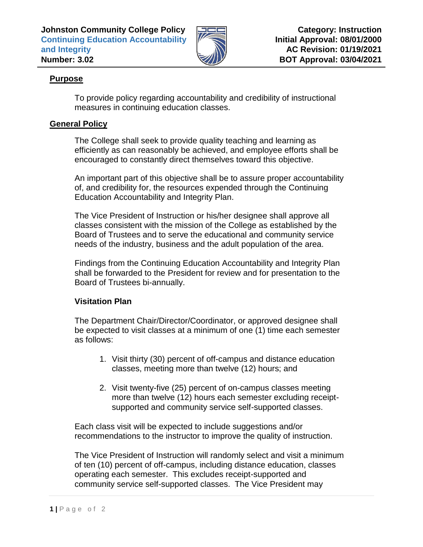

## **Purpose**

To provide policy regarding accountability and credibility of instructional measures in continuing education classes.

## **General Policy**

The College shall seek to provide quality teaching and learning as efficiently as can reasonably be achieved, and employee efforts shall be encouraged to constantly direct themselves toward this objective.

An important part of this objective shall be to assure proper accountability of, and credibility for, the resources expended through the Continuing Education Accountability and Integrity Plan.

The Vice President of Instruction or his/her designee shall approve all classes consistent with the mission of the College as established by the Board of Trustees and to serve the educational and community service needs of the industry, business and the adult population of the area.

Findings from the Continuing Education Accountability and Integrity Plan shall be forwarded to the President for review and for presentation to the Board of Trustees bi-annually.

## **Visitation Plan**

The Department Chair/Director/Coordinator, or approved designee shall be expected to visit classes at a minimum of one (1) time each semester as follows:

- 1. Visit thirty (30) percent of off-campus and distance education classes, meeting more than twelve (12) hours; and
- 2. Visit twenty-five (25) percent of on-campus classes meeting more than twelve (12) hours each semester excluding receiptsupported and community service self-supported classes.

Each class visit will be expected to include suggestions and/or recommendations to the instructor to improve the quality of instruction.

The Vice President of Instruction will randomly select and visit a minimum of ten (10) percent of off-campus, including distance education, classes operating each semester. This excludes receipt-supported and community service self-supported classes. The Vice President may